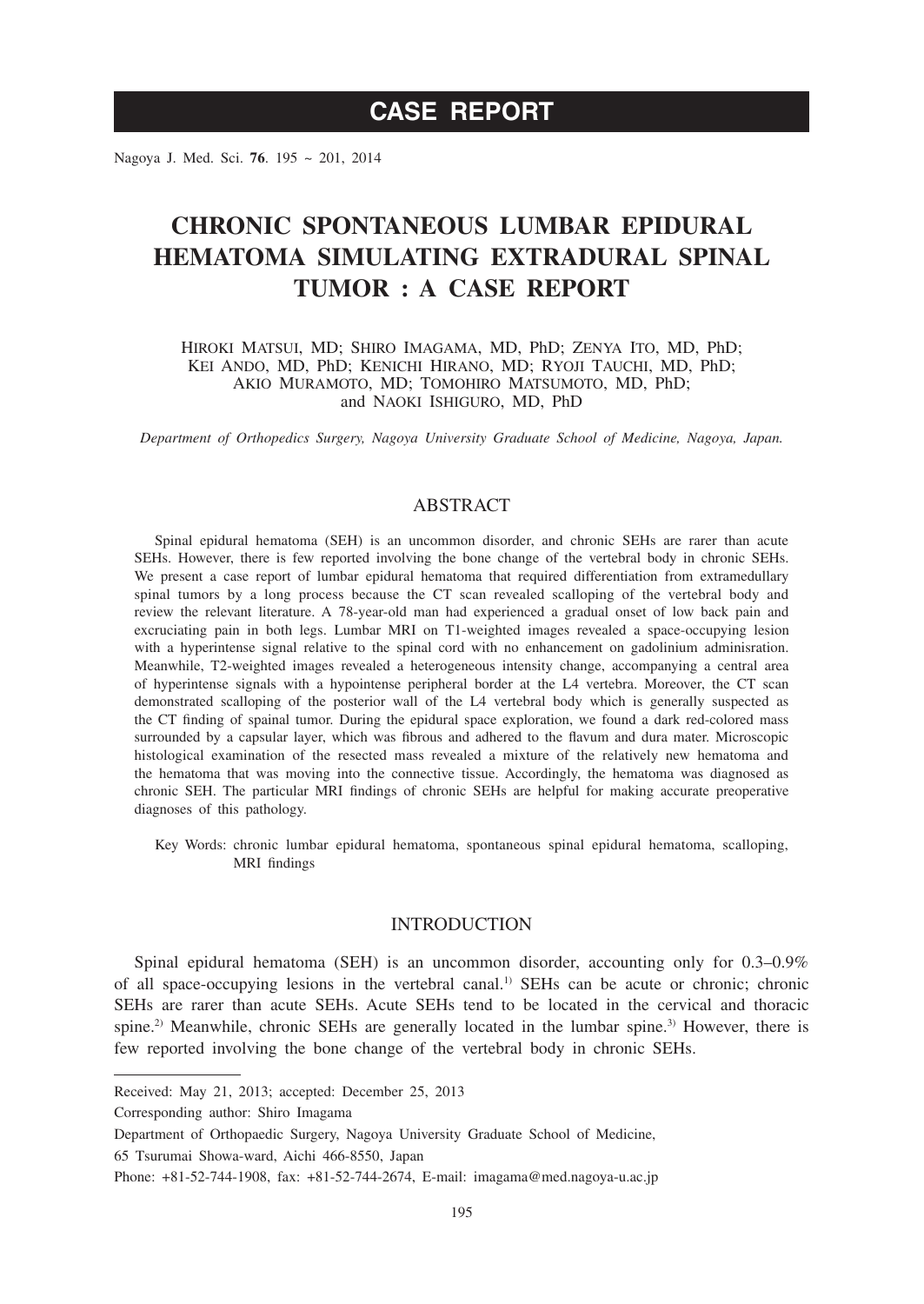# **CASE REPORT**

Nagoya J. Med. Sci. **76**. 195 ~ 201, 2014

# **CHRONIC SPONTANEOUS LUMBAR EPIDURAL HEMATOMA SIMULATING EXTRADURAL SPINAL TUMOR : A CASE REPORT**

HIROKI MATSUI, MD; SHIRO IMAGAMA, MD, PhD; ZENYA ITO, MD, PhD; KEI ANDO, MD, PhD; KENICHI HIRANO, MD; RYOJI TAUCHI, MD, PhD; AKIO MURAMOTO, MD; TOMOHIRO MATSUMOTO, MD, PhD; and NAOKI ISHIGURO, MD, PhD

*Department of Orthopedics Surgery, Nagoya University Graduate School of Medicine, Nagoya, Japan.*

## ABSTRACT

Spinal epidural hematoma (SEH) is an uncommon disorder, and chronic SEHs are rarer than acute SEHs. However, there is few reported involving the bone change of the vertebral body in chronic SEHs. We present a case report of lumbar epidural hematoma that required differentiation from extramedullary spinal tumors by a long process because the CT scan revealed scalloping of the vertebral body and review the relevant literature. A 78-year-old man had experienced a gradual onset of low back pain and excruciating pain in both legs. Lumbar MRI on T1-weighted images revealed a space-occupying lesion with a hyperintense signal relative to the spinal cord with no enhancement on gadolinium adminisration. Meanwhile, T2-weighted images revealed a heterogeneous intensity change, accompanying a central area of hyperintense signals with a hypointense peripheral border at the L4 vertebra. Moreover, the CT scan demonstrated scalloping of the posterior wall of the L4 vertebral body which is generally suspected as the CT finding of spainal tumor. During the epidural space exploration, we found a dark red-colored mass surrounded by a capsular layer, which was fibrous and adhered to the flavum and dura mater. Microscopic histological examination of the resected mass revealed a mixture of the relatively new hematoma and the hematoma that was moving into the connective tissue. Accordingly, the hematoma was diagnosed as chronic SEH. The particular MRI findings of chronic SEHs are helpful for making accurate preoperative diagnoses of this pathology.

Key Words: chronic lumbar epidural hematoma, spontaneous spinal epidural hematoma, scalloping, MRI findings

## INTRODUCTION

Spinal epidural hematoma (SEH) is an uncommon disorder, accounting only for 0.3–0.9% of all space-occupying lesions in the vertebral canal.<sup>1)</sup> SEHs can be acute or chronic; chronic SEHs are rarer than acute SEHs. Acute SEHs tend to be located in the cervical and thoracic spine.<sup>2)</sup> Meanwhile, chronic SEHs are generally located in the lumbar spine.<sup>3)</sup> However, there is few reported involving the bone change of the vertebral body in chronic SEHs.

Received: May 21, 2013; accepted: December 25, 2013

Corresponding author: Shiro Imagama

Department of Orthopaedic Surgery, Nagoya University Graduate School of Medicine, 65 Tsurumai Showa-ward, Aichi 466-8550, Japan

Phone: +81-52-744-1908, fax: +81-52-744-2674, E-mail: imagama@med.nagoya-u.ac.jp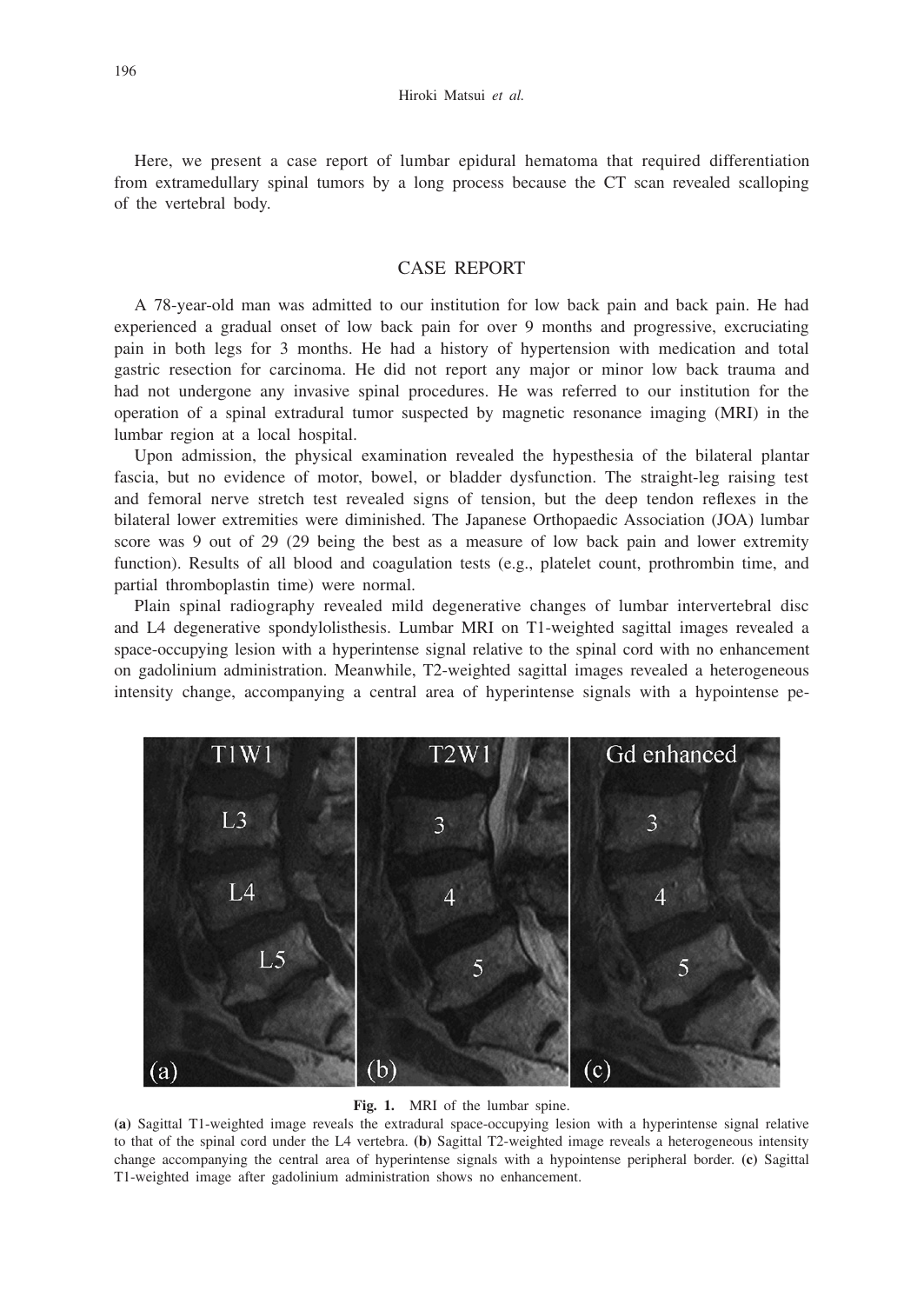Here, we present a case report of lumbar epidural hematoma that required differentiation from extramedullary spinal tumors by a long process because the CT scan revealed scalloping of the vertebral body.

## CASE REPORT

A 78-year-old man was admitted to our institution for low back pain and back pain. He had experienced a gradual onset of low back pain for over 9 months and progressive, excruciating pain in both legs for 3 months. He had a history of hypertension with medication and total gastric resection for carcinoma. He did not report any major or minor low back trauma and had not undergone any invasive spinal procedures. He was referred to our institution for the operation of a spinal extradural tumor suspected by magnetic resonance imaging (MRI) in the lumbar region at a local hospital.

Upon admission, the physical examination revealed the hypesthesia of the bilateral plantar fascia, but no evidence of motor, bowel, or bladder dysfunction. The straight-leg raising test and femoral nerve stretch test revealed signs of tension, but the deep tendon reflexes in the bilateral lower extremities were diminished. The Japanese Orthopaedic Association (JOA) lumbar score was 9 out of 29 (29 being the best as a measure of low back pain and lower extremity function). Results of all blood and coagulation tests (e.g., platelet count, prothrombin time, and partial thromboplastin time) were normal.

Plain spinal radiography revealed mild degenerative changes of lumbar intervertebral disc and L4 degenerative spondylolisthesis. Lumbar MRI on T1-weighted sagittal images revealed a space-occupying lesion with a hyperintense signal relative to the spinal cord with no enhancement on gadolinium administration. Meanwhile, T2-weighted sagittal images revealed a heterogeneous intensity change, accompanying a central area of hyperintense signals with a hypointense pe-



#### **Fig. 1.** MRI of the lumbar spine.

**(a)** Sagittal T1-weighted image reveals the extradural space-occupying lesion with a hyperintense signal relative to that of the spinal cord under the L4 vertebra. **(b)** Sagittal T2-weighted image reveals a heterogeneous intensity change accompanying the central area of hyperintense signals with a hypointense peripheral border. **(c)** Sagittal T1-weighted image after gadolinium administration shows no enhancement.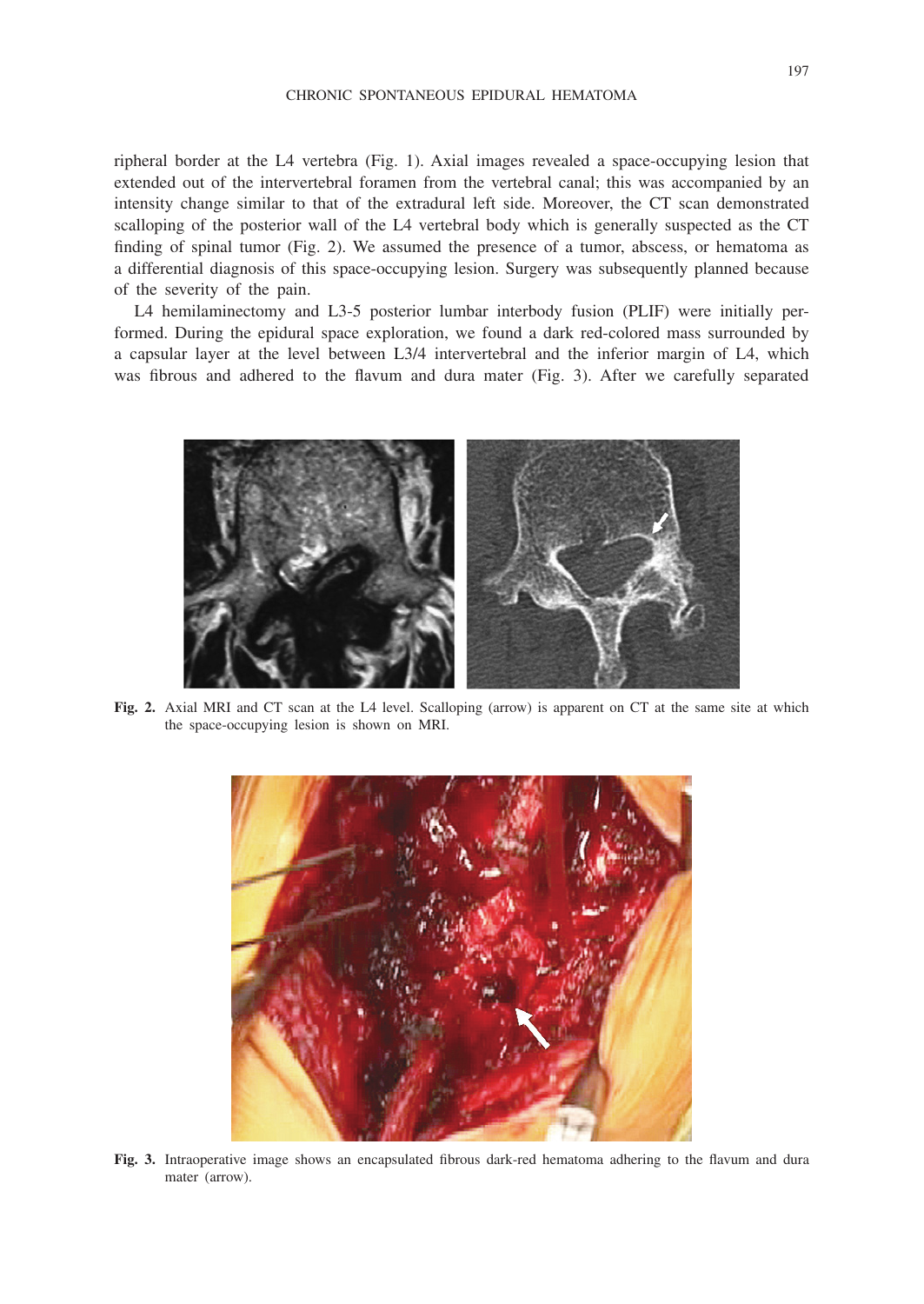#### CHRONIC SPONTANEOUS EPIDURAL HEMATOMA

ripheral border at the L4 vertebra (Fig. 1). Axial images revealed a space-occupying lesion that extended out of the intervertebral foramen from the vertebral canal; this was accompanied by an intensity change similar to that of the extradural left side. Moreover, the CT scan demonstrated scalloping of the posterior wall of the L4 vertebral body which is generally suspected as the CT finding of spinal tumor (Fig. 2). We assumed the presence of a tumor, abscess, or hematoma as a differential diagnosis of this space-occupying lesion. Surgery was subsequently planned because of the severity of the pain.

L4 hemilaminectomy and L3-5 posterior lumbar interbody fusion (PLIF) were initially performed. During the epidural space exploration, we found a dark red-colored mass surrounded by a capsular layer at the level between L3/4 intervertebral and the inferior margin of L4, which was fibrous and adhered to the flavum and dura mater (Fig. 3). After we carefully separated



**Fig. 2.** Axial MRI and CT scan at the L4 level. Scalloping (arrow) is apparent on CT at the same site at which the space-occupying lesion is shown on MRI.



**Fig. 3.** Intraoperative image shows an encapsulated fibrous dark-red hematoma adhering to the flavum and dura mater (arrow).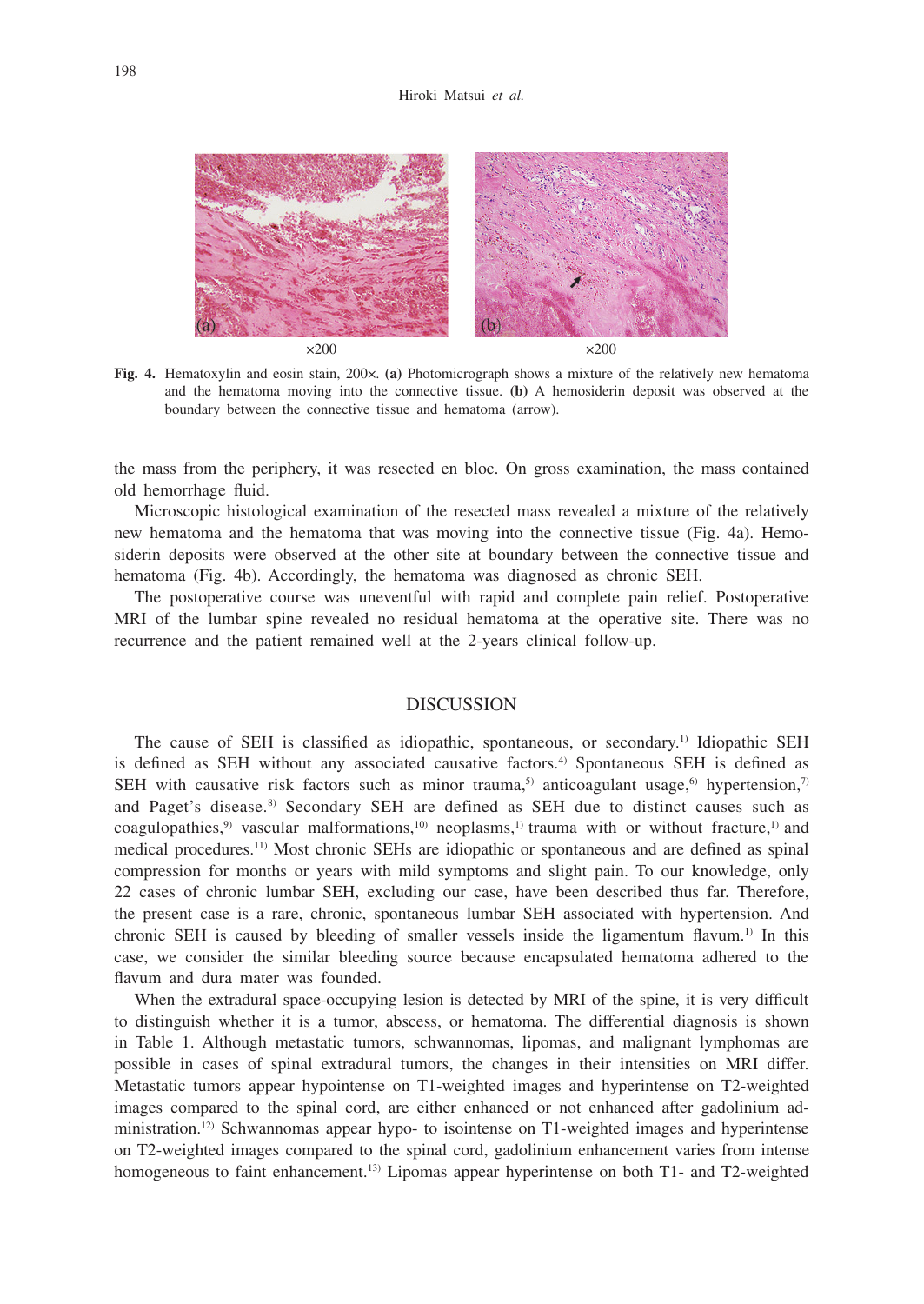#### Hiroki Matsui *et al.*



**Fig. 4.** Hematoxylin and eosin stain, 200×. **(a)** Photomicrograph shows a mixture of the relatively new hematoma and the hematoma moving into the connective tissue. **(b)** A hemosiderin deposit was observed at the boundary between the connective tissue and hematoma (arrow).

the mass from the periphery, it was resected en bloc. On gross examination, the mass contained old hemorrhage fluid.

Microscopic histological examination of the resected mass revealed a mixture of the relatively new hematoma and the hematoma that was moving into the connective tissue (Fig. 4a). Hemosiderin deposits were observed at the other site at boundary between the connective tissue and hematoma (Fig. 4b). Accordingly, the hematoma was diagnosed as chronic SEH.

The postoperative course was uneventful with rapid and complete pain relief. Postoperative MRI of the lumbar spine revealed no residual hematoma at the operative site. There was no recurrence and the patient remained well at the 2-years clinical follow-up.

### DISCUSSION

The cause of SEH is classified as idiopathic, spontaneous, or secondary.1) Idiopathic SEH is defined as SEH without any associated causative factors.<sup>4)</sup> Spontaneous SEH is defined as SEH with causative risk factors such as minor trauma,<sup>5)</sup> anticoagulant usage,<sup>6)</sup> hypertension,<sup>7)</sup> and Paget's disease.<sup>8)</sup> Secondary SEH are defined as SEH due to distinct causes such as coagulopathies,<sup>9)</sup> vascular malformations,<sup>10</sup>) neoplasms,<sup>1)</sup> trauma with or without fracture,<sup>1)</sup> and medical procedures.11) Most chronic SEHs are idiopathic or spontaneous and are defined as spinal compression for months or years with mild symptoms and slight pain. To our knowledge, only 22 cases of chronic lumbar SEH, excluding our case, have been described thus far. Therefore, the present case is a rare, chronic, spontaneous lumbar SEH associated with hypertension. And chronic SEH is caused by bleeding of smaller vessels inside the ligamentum flavum.<sup>1)</sup> In this case, we consider the similar bleeding source because encapsulated hematoma adhered to the flavum and dura mater was founded.

When the extradural space-occupying lesion is detected by MRI of the spine, it is very difficult to distinguish whether it is a tumor, abscess, or hematoma. The differential diagnosis is shown in Table 1. Although metastatic tumors, schwannomas, lipomas, and malignant lymphomas are possible in cases of spinal extradural tumors, the changes in their intensities on MRI differ. Metastatic tumors appear hypointense on T1-weighted images and hyperintense on T2-weighted images compared to the spinal cord, are either enhanced or not enhanced after gadolinium administration.12) Schwannomas appear hypo- to isointense on T1-weighted images and hyperintense on T2-weighted images compared to the spinal cord, gadolinium enhancement varies from intense homogeneous to faint enhancement.<sup>13)</sup> Lipomas appear hyperintense on both T1- and T2-weighted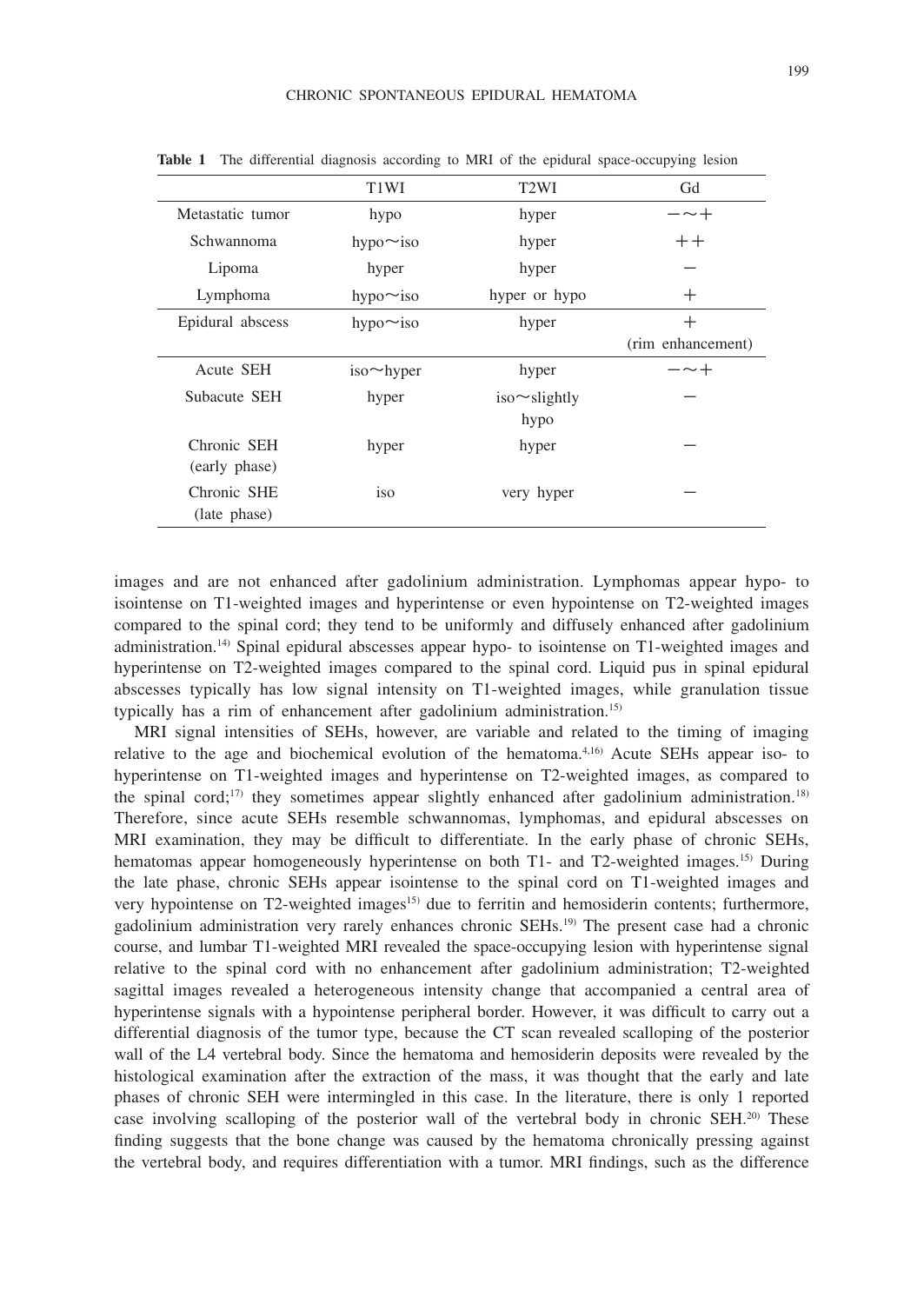| $\cdots$ $\cdots$ $\cdots$ $\cdots$ $\cdots$<br>represented to the contract of the contract of the contract of the contract of the contract of the contract of |                               |                     |                   |
|----------------------------------------------------------------------------------------------------------------------------------------------------------------|-------------------------------|---------------------|-------------------|
|                                                                                                                                                                | T <sub>1</sub> W <sub>I</sub> | T <sub>2</sub> WI   | Gd                |
| Metastatic tumor                                                                                                                                               | hypo                          | hyper               | $ \sim$ $+$       |
| Schwannoma                                                                                                                                                     | hypo $\sim$ iso               | hyper               | $++$              |
| Lipoma                                                                                                                                                         | hyper                         | hyper               |                   |
| Lymphoma                                                                                                                                                       | hypo $\sim$ iso               | hyper or hypo       | $\pm$             |
| Epidural abscess                                                                                                                                               | hypo $\sim$ iso               | hyper               | $^{+}$            |
|                                                                                                                                                                |                               |                     | (rim enhancement) |
| Acute SEH                                                                                                                                                      | $iso \sim$ hyper              | hyper               | $ \sim$ $+$       |
| Subacute SEH                                                                                                                                                   | hyper                         | $iso \sim$ slightly |                   |
|                                                                                                                                                                |                               | hypo                |                   |
| Chronic SEH                                                                                                                                                    | hyper                         | hyper               |                   |
| (early phase)                                                                                                                                                  |                               |                     |                   |
| Chronic SHE                                                                                                                                                    | iso                           | very hyper          |                   |
| (late phase)                                                                                                                                                   |                               |                     |                   |

**Table 1** The differential diagnosis according to MRI of the epidural space-occupying lesion

images and are not enhanced after gadolinium administration. Lymphomas appear hypo- to isointense on T1-weighted images and hyperintense or even hypointense on T2-weighted images compared to the spinal cord; they tend to be uniformly and diffusely enhanced after gadolinium administration.14) Spinal epidural abscesses appear hypo- to isointense on T1-weighted images and hyperintense on T2-weighted images compared to the spinal cord. Liquid pus in spinal epidural abscesses typically has low signal intensity on T1-weighted images, while granulation tissue typically has a rim of enhancement after gadolinium administration.15)

MRI signal intensities of SEHs, however, are variable and related to the timing of imaging relative to the age and biochemical evolution of the hematoma.4,16) Acute SEHs appear iso- to hyperintense on T1-weighted images and hyperintense on T2-weighted images, as compared to the spinal cord;<sup>17)</sup> they sometimes appear slightly enhanced after gadolinium administration.<sup>18)</sup> Therefore, since acute SEHs resemble schwannomas, lymphomas, and epidural abscesses on MRI examination, they may be difficult to differentiate. In the early phase of chronic SEHs, hematomas appear homogeneously hyperintense on both T1- and T2-weighted images.<sup>15)</sup> During the late phase, chronic SEHs appear isointense to the spinal cord on T1-weighted images and very hypointense on T2-weighted images<sup>15</sup> due to ferritin and hemosiderin contents; furthermore, gadolinium administration very rarely enhances chronic SEHs.19) The present case had a chronic course, and lumbar T1-weighted MRI revealed the space-occupying lesion with hyperintense signal relative to the spinal cord with no enhancement after gadolinium administration; T2-weighted sagittal images revealed a heterogeneous intensity change that accompanied a central area of hyperintense signals with a hypointense peripheral border. However, it was difficult to carry out a differential diagnosis of the tumor type, because the CT scan revealed scalloping of the posterior wall of the L4 vertebral body. Since the hematoma and hemosiderin deposits were revealed by the histological examination after the extraction of the mass, it was thought that the early and late phases of chronic SEH were intermingled in this case. In the literature, there is only 1 reported case involving scalloping of the posterior wall of the vertebral body in chronic SEH.20) These finding suggests that the bone change was caused by the hematoma chronically pressing against the vertebral body, and requires differentiation with a tumor. MRI findings, such as the difference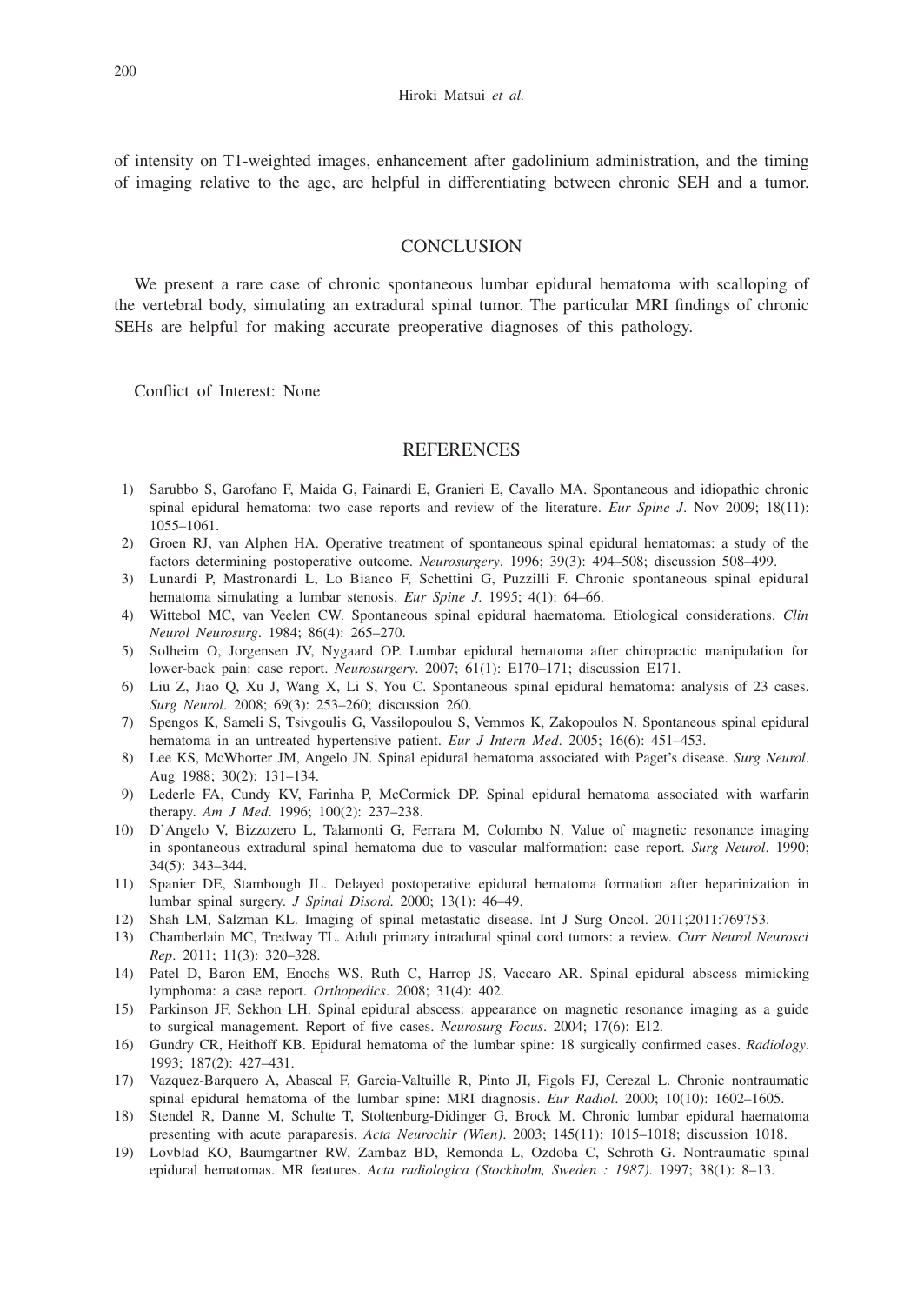of intensity on T1-weighted images, enhancement after gadolinium administration, and the timing of imaging relative to the age, are helpful in differentiating between chronic SEH and a tumor.

## **CONCLUSION**

We present a rare case of chronic spontaneous lumbar epidural hematoma with scalloping of the vertebral body, simulating an extradural spinal tumor. The particular MRI findings of chronic SEHs are helpful for making accurate preoperative diagnoses of this pathology.

Conflict of Interest: None

### **REFERENCES**

- 1) Sarubbo S, Garofano F, Maida G, Fainardi E, Granieri E, Cavallo MA. Spontaneous and idiopathic chronic spinal epidural hematoma: two case reports and review of the literature. *Eur Spine J*. Nov 2009; 18(11): 1055–1061.
- 2) Groen RJ, van Alphen HA. Operative treatment of spontaneous spinal epidural hematomas: a study of the factors determining postoperative outcome. *Neurosurgery*. 1996; 39(3): 494–508; discussion 508–499.
- 3) Lunardi P, Mastronardi L, Lo Bianco F, Schettini G, Puzzilli F. Chronic spontaneous spinal epidural hematoma simulating a lumbar stenosis. *Eur Spine J*. 1995; 4(1): 64–66.
- 4) Wittebol MC, van Veelen CW. Spontaneous spinal epidural haematoma. Etiological considerations. *Clin Neurol Neurosurg*. 1984; 86(4): 265–270.
- 5) Solheim O, Jorgensen JV, Nygaard OP. Lumbar epidural hematoma after chiropractic manipulation for lower-back pain: case report. *Neurosurgery*. 2007; 61(1): E170–171; discussion E171.
- 6) Liu Z, Jiao Q, Xu J, Wang X, Li S, You C. Spontaneous spinal epidural hematoma: analysis of 23 cases. *Surg Neurol*. 2008; 69(3): 253–260; discussion 260.
- 7) Spengos K, Sameli S, Tsivgoulis G, Vassilopoulou S, Vemmos K, Zakopoulos N. Spontaneous spinal epidural hematoma in an untreated hypertensive patient. *Eur J Intern Med*. 2005; 16(6): 451–453.
- 8) Lee KS, McWhorter JM, Angelo JN. Spinal epidural hematoma associated with Paget's disease. *Surg Neurol*. Aug 1988; 30(2): 131–134.
- 9) Lederle FA, Cundy KV, Farinha P, McCormick DP. Spinal epidural hematoma associated with warfarin therapy. *Am J Med*. 1996; 100(2): 237–238.
- 10) D'Angelo V, Bizzozero L, Talamonti G, Ferrara M, Colombo N. Value of magnetic resonance imaging in spontaneous extradural spinal hematoma due to vascular malformation: case report. *Surg Neurol*. 1990; 34(5): 343–344.
- 11) Spanier DE, Stambough JL. Delayed postoperative epidural hematoma formation after heparinization in lumbar spinal surgery. *J Spinal Disord*. 2000; 13(1): 46–49.
- 12) Shah LM, Salzman KL. Imaging of spinal metastatic disease. Int J Surg Oncol. 2011;2011:769753.
- 13) Chamberlain MC, Tredway TL. Adult primary intradural spinal cord tumors: a review. *Curr Neurol Neurosci Rep*. 2011; 11(3): 320–328.
- 14) Patel D, Baron EM, Enochs WS, Ruth C, Harrop JS, Vaccaro AR. Spinal epidural abscess mimicking lymphoma: a case report. *Orthopedics*. 2008; 31(4): 402.
- 15) Parkinson JF, Sekhon LH. Spinal epidural abscess: appearance on magnetic resonance imaging as a guide to surgical management. Report of five cases. *Neurosurg Focus*. 2004; 17(6): E12.
- 16) Gundry CR, Heithoff KB. Epidural hematoma of the lumbar spine: 18 surgically confirmed cases. *Radiology*. 1993; 187(2): 427–431.
- 17) Vazquez-Barquero A, Abascal F, Garcia-Valtuille R, Pinto JI, Figols FJ, Cerezal L. Chronic nontraumatic spinal epidural hematoma of the lumbar spine: MRI diagnosis. *Eur Radiol*. 2000; 10(10): 1602–1605.
- 18) Stendel R, Danne M, Schulte T, Stoltenburg-Didinger G, Brock M. Chronic lumbar epidural haematoma presenting with acute paraparesis. *Acta Neurochir (Wien)*. 2003; 145(11): 1015–1018; discussion 1018.
- 19) Lovblad KO, Baumgartner RW, Zambaz BD, Remonda L, Ozdoba C, Schroth G. Nontraumatic spinal epidural hematomas. MR features. *Acta radiologica (Stockholm, Sweden : 1987)*. 1997; 38(1): 8–13.